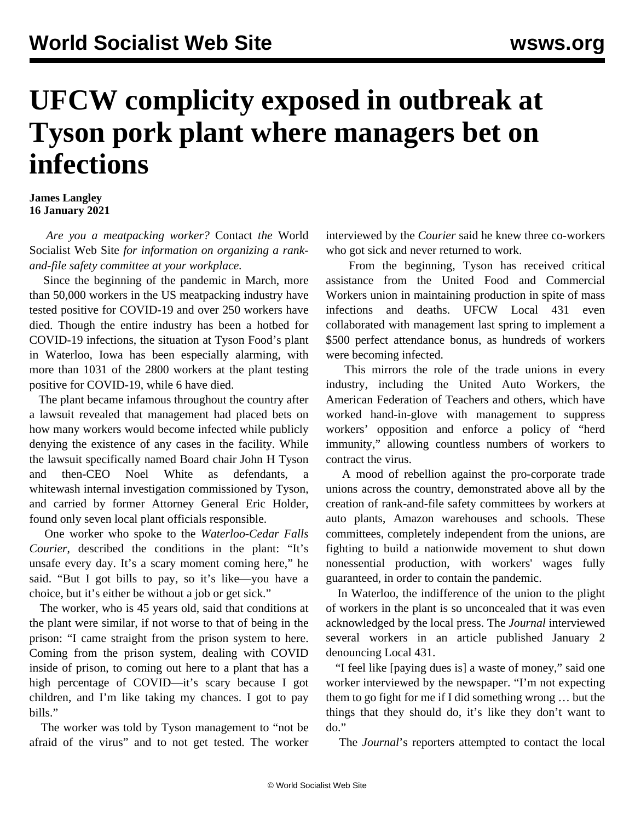## **UFCW complicity exposed in outbreak at Tyson pork plant where managers bet on infections**

## **James Langley 16 January 2021**

 *Are you a meatpacking worker?* [Contact](/en/special/pages/contact.html) *the* World Socialist Web Site *for information on organizing a rankand-file safety committee at your workplace.*

 Since the beginning of the pandemic in March, more than 50,000 workers in the US meatpacking industry have tested positive for COVID-19 and over 250 workers have died. Though the entire industry has been a hotbed for COVID-19 infections, the situation at Tyson Food's plant in Waterloo, Iowa has been especially alarming, with more than 1031 of the 2800 workers at the plant testing positive for COVID-19, while 6 have died.

 The plant became infamous throughout the country after a lawsuit revealed that management had [placed bets](/en/articles/2020/11/20/meat-n20.html) on how many workers would become infected while publicly denying the existence of any cases in the facility. While the lawsuit specifically named Board chair John H Tyson and then-CEO Noel White as defendants, a whitewash [internal investigation c](/en/articles/2020/12/19/meat-d19.html)ommissioned by Tyson, and carried by former Attorney General Eric Holder, found only seven local plant officials responsible.

 One worker who spoke to the *Waterloo-Cedar Falls Courier*, described the conditions in the plant: "It's unsafe every day. It's a scary moment coming here," he said. "But I got bills to pay, so it's like—you have a choice, but it's either be without a job or get sick."

 The worker, who is 45 years old, said that conditions at the plant were similar, if not worse to that of being in the prison: "I came straight from the prison system to here. Coming from the prison system, dealing with COVID inside of prison, to coming out here to a plant that has a high percentage of COVID—it's scary because I got children, and I'm like taking my chances. I got to pay bills."

 The worker was told by Tyson management to "not be afraid of the virus" and to not get tested. The worker interviewed by the *Courier* said he knew three co-workers who got sick and never returned to work.

 From the beginning, Tyson has received critical assistance from the United Food and Commercial Workers union in maintaining production in spite of mass infections and deaths. UFCW Local 431 even collaborated with management last spring to implement a \$500 perfect attendance bonus, as hundreds of workers were becoming infected.

 This mirrors the role of the trade unions in every industry, including the United Auto Workers, the American Federation of Teachers and others, which have worked hand-in-glove with management to suppress workers' opposition and enforce a policy of "herd immunity," allowing countless numbers of workers to contract the virus.

 A mood of rebellion against the pro-corporate trade unions across the country, demonstrated above all by the creation of rank-and-file safety committees by workers at [auto plants](/en/articles/2020/08/10/auto-a10.html), [Amazon warehouses](/en/articles/2020/12/14/bwi2-d14.html) and [schools.](/en/special/pages/educators-rank-and-file-committee.html) These committees, completely independent from the unions, are fighting to build a nationwide movement to shut down nonessential production, with workers' wages fully guaranteed, in order to contain the pandemic.

 In Waterloo, the indifference of the union to the plight of workers in the plant is so unconcealed that it was even acknowledged by the local press. The *Journal* interviewed several workers in an article published January 2 denouncing Local 431.

 "I feel like [paying dues is] a waste of money," said one worker interviewed by the newspaper. "I'm not expecting them to go fight for me if I did something wrong … but the things that they should do, it's like they don't want to do."

The *Journal*'s reporters attempted to contact the local